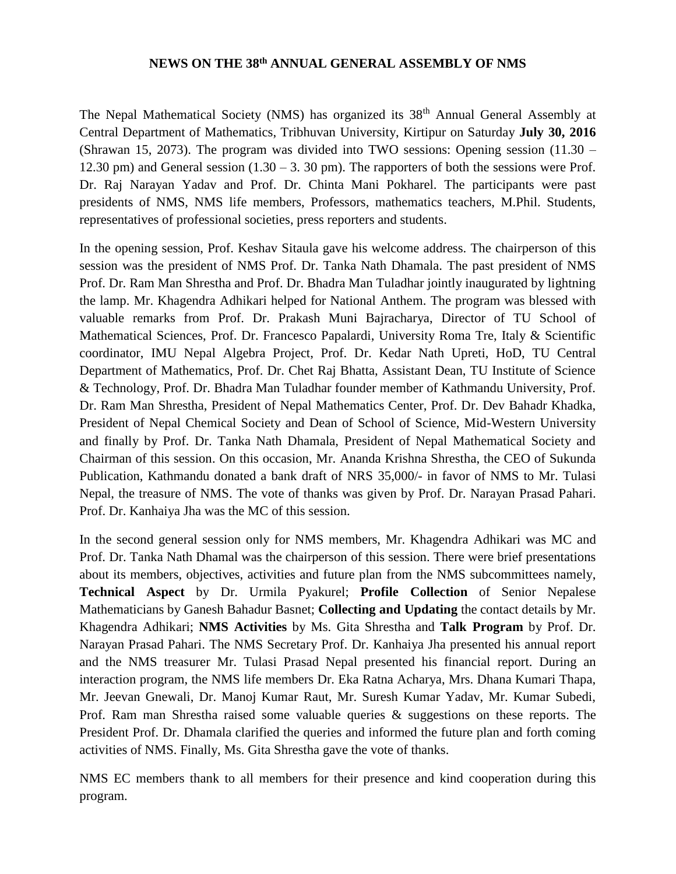## **NEWS ON THE 38th ANNUAL GENERAL ASSEMBLY OF NMS**

The Nepal Mathematical Society (NMS) has organized its 38<sup>th</sup> Annual General Assembly at Central Department of Mathematics, Tribhuvan University, Kirtipur on Saturday **July 30, 2016** (Shrawan 15, 2073). The program was divided into TWO sessions: Opening session (11.30 – 12.30 pm) and General session  $(1.30 - 3.30 \text{ pm})$ . The rapporters of both the sessions were Prof. Dr. Raj Narayan Yadav and Prof. Dr. Chinta Mani Pokharel. The participants were past presidents of NMS, NMS life members, Professors, mathematics teachers, M.Phil. Students, representatives of professional societies, press reporters and students.

In the opening session, Prof. Keshav Sitaula gave his welcome address. The chairperson of this session was the president of NMS Prof. Dr. Tanka Nath Dhamala. The past president of NMS Prof. Dr. Ram Man Shrestha and Prof. Dr. Bhadra Man Tuladhar jointly inaugurated by lightning the lamp. Mr. Khagendra Adhikari helped for National Anthem. The program was blessed with valuable remarks from Prof. Dr. Prakash Muni Bajracharya, Director of TU School of Mathematical Sciences, Prof. Dr. Francesco Papalardi, University Roma Tre, Italy & Scientific coordinator, IMU Nepal Algebra Project, Prof. Dr. Kedar Nath Upreti, HoD, TU Central Department of Mathematics, Prof. Dr. Chet Raj Bhatta, Assistant Dean, TU Institute of Science & Technology, Prof. Dr. Bhadra Man Tuladhar founder member of Kathmandu University, Prof. Dr. Ram Man Shrestha, President of Nepal Mathematics Center, Prof. Dr. Dev Bahadr Khadka, President of Nepal Chemical Society and Dean of School of Science, Mid-Western University and finally by Prof. Dr. Tanka Nath Dhamala, President of Nepal Mathematical Society and Chairman of this session. On this occasion, Mr. Ananda Krishna Shrestha, the CEO of Sukunda Publication, Kathmandu donated a bank draft of NRS 35,000/- in favor of NMS to Mr. Tulasi Nepal, the treasure of NMS. The vote of thanks was given by Prof. Dr. Narayan Prasad Pahari. Prof. Dr. Kanhaiya Jha was the MC of this session.

In the second general session only for NMS members, Mr. Khagendra Adhikari was MC and Prof. Dr. Tanka Nath Dhamal was the chairperson of this session. There were brief presentations about its members, objectives, activities and future plan from the NMS subcommittees namely, **Technical Aspect** by Dr. Urmila Pyakurel; **Profile Collection** of Senior Nepalese Mathematicians by Ganesh Bahadur Basnet; **Collecting and Updating** the contact details by Mr. Khagendra Adhikari; **NMS Activities** by Ms. Gita Shrestha and **Talk Program** by Prof. Dr. Narayan Prasad Pahari. The NMS Secretary Prof. Dr. Kanhaiya Jha presented his annual report and the NMS treasurer Mr. Tulasi Prasad Nepal presented his financial report. During an interaction program, the NMS life members Dr. Eka Ratna Acharya, Mrs. Dhana Kumari Thapa, Mr. Jeevan Gnewali, Dr. Manoj Kumar Raut, Mr. Suresh Kumar Yadav, Mr. Kumar Subedi, Prof. Ram man Shrestha raised some valuable queries & suggestions on these reports. The President Prof. Dr. Dhamala clarified the queries and informed the future plan and forth coming activities of NMS. Finally, Ms. Gita Shrestha gave the vote of thanks.

NMS EC members thank to all members for their presence and kind cooperation during this program.